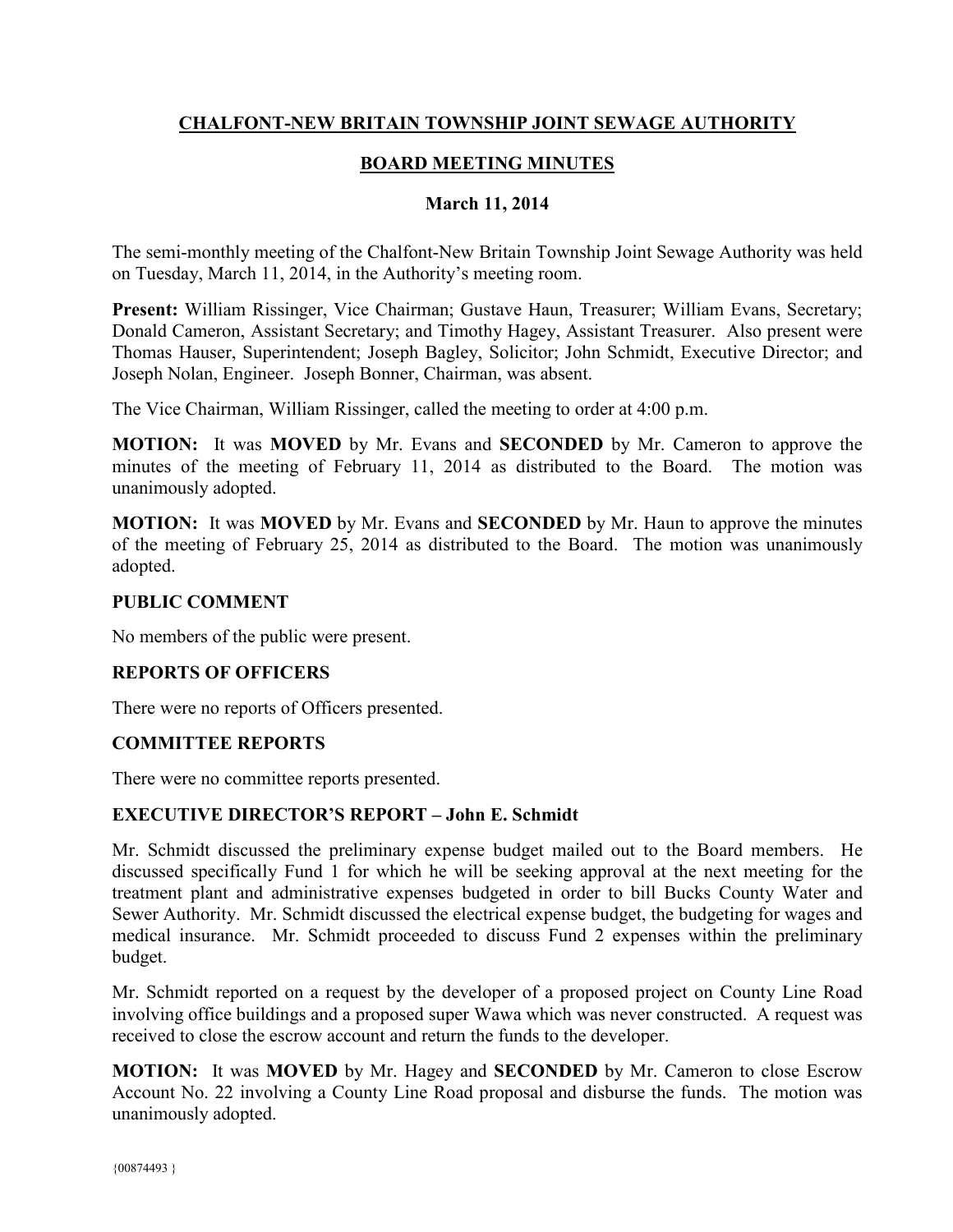## **CHALFONT-NEW BRITAIN TOWNSHIP JOINT SEWAGE AUTHORITY**

# **BOARD MEETING MINUTES**

### **March 11, 2014**

The semi-monthly meeting of the Chalfont-New Britain Township Joint Sewage Authority was held on Tuesday, March 11, 2014, in the Authority's meeting room.

**Present:** William Rissinger, Vice Chairman; Gustave Haun, Treasurer; William Evans, Secretary; Donald Cameron, Assistant Secretary; and Timothy Hagey, Assistant Treasurer. Also present were Thomas Hauser, Superintendent; Joseph Bagley, Solicitor; John Schmidt, Executive Director; and Joseph Nolan, Engineer. Joseph Bonner, Chairman, was absent.

The Vice Chairman, William Rissinger, called the meeting to order at 4:00 p.m.

**MOTION:** It was **MOVED** by Mr. Evans and **SECONDED** by Mr. Cameron to approve the minutes of the meeting of February 11, 2014 as distributed to the Board. The motion was unanimously adopted.

**MOTION:** It was **MOVED** by Mr. Evans and **SECONDED** by Mr. Haun to approve the minutes of the meeting of February 25, 2014 as distributed to the Board. The motion was unanimously adopted.

### **PUBLIC COMMENT**

No members of the public were present.

### **REPORTS OF OFFICERS**

There were no reports of Officers presented.

### **COMMITTEE REPORTS**

There were no committee reports presented.

### **EXECUTIVE DIRECTOR'S REPORT – John E. Schmidt**

Mr. Schmidt discussed the preliminary expense budget mailed out to the Board members. He discussed specifically Fund 1 for which he will be seeking approval at the next meeting for the treatment plant and administrative expenses budgeted in order to bill Bucks County Water and Sewer Authority. Mr. Schmidt discussed the electrical expense budget, the budgeting for wages and medical insurance. Mr. Schmidt proceeded to discuss Fund 2 expenses within the preliminary budget.

Mr. Schmidt reported on a request by the developer of a proposed project on County Line Road involving office buildings and a proposed super Wawa which was never constructed. A request was received to close the escrow account and return the funds to the developer.

**MOTION:** It was **MOVED** by Mr. Hagey and **SECONDED** by Mr. Cameron to close Escrow Account No. 22 involving a County Line Road proposal and disburse the funds. The motion was unanimously adopted.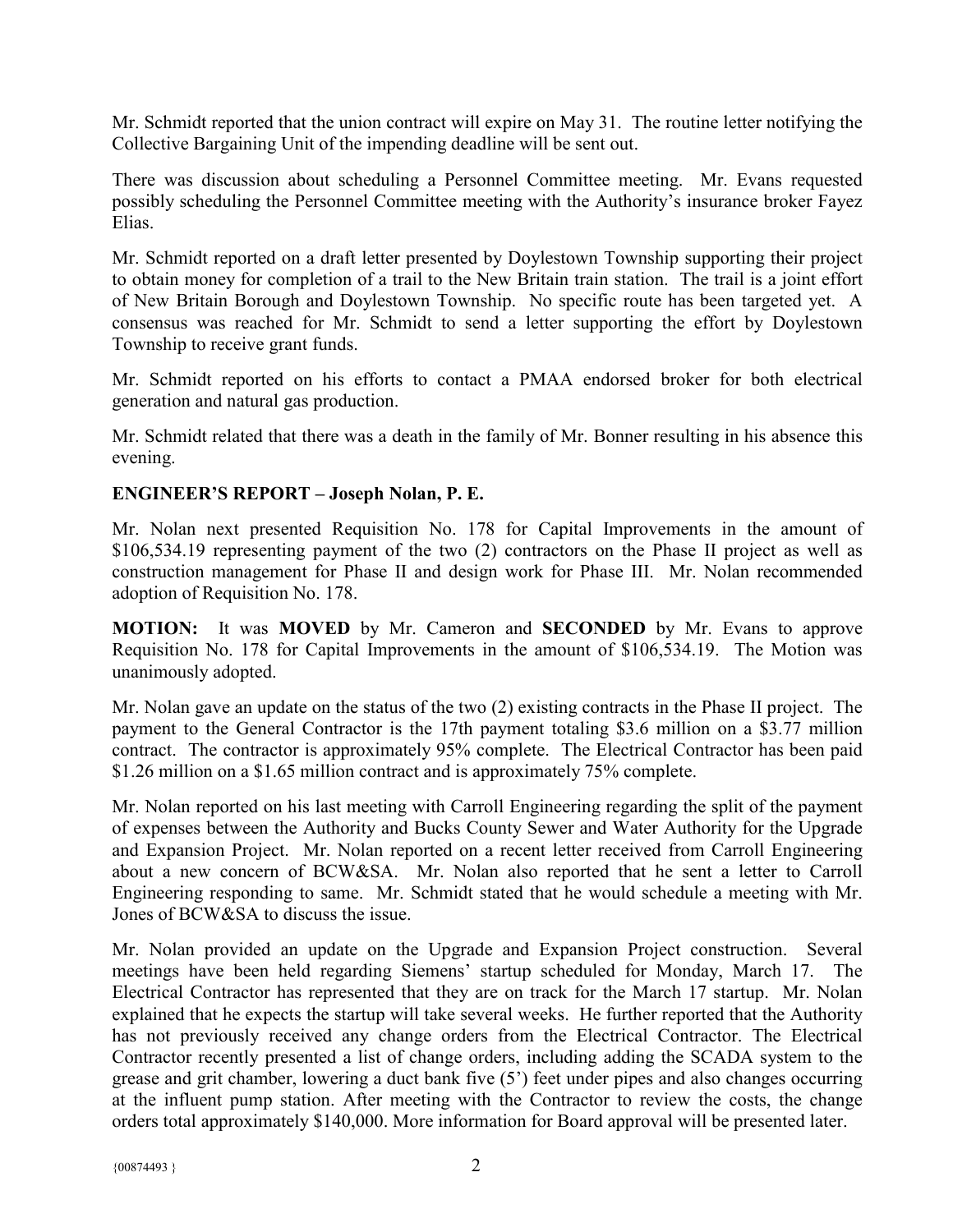Mr. Schmidt reported that the union contract will expire on May 31. The routine letter notifying the Collective Bargaining Unit of the impending deadline will be sent out.

There was discussion about scheduling a Personnel Committee meeting. Mr. Evans requested possibly scheduling the Personnel Committee meeting with the Authority's insurance broker Fayez Elias.

Mr. Schmidt reported on a draft letter presented by Doylestown Township supporting their project to obtain money for completion of a trail to the New Britain train station. The trail is a joint effort of New Britain Borough and Doylestown Township. No specific route has been targeted yet. A consensus was reached for Mr. Schmidt to send a letter supporting the effort by Doylestown Township to receive grant funds.

Mr. Schmidt reported on his efforts to contact a PMAA endorsed broker for both electrical generation and natural gas production.

Mr. Schmidt related that there was a death in the family of Mr. Bonner resulting in his absence this evening.

### **ENGINEER'S REPORT – Joseph Nolan, P. E.**

Mr. Nolan next presented Requisition No. 178 for Capital Improvements in the amount of \$106,534.19 representing payment of the two (2) contractors on the Phase II project as well as construction management for Phase II and design work for Phase III. Mr. Nolan recommended adoption of Requisition No. 178.

**MOTION:** It was **MOVED** by Mr. Cameron and **SECONDED** by Mr. Evans to approve Requisition No. 178 for Capital Improvements in the amount of \$106,534.19. The Motion was unanimously adopted.

Mr. Nolan gave an update on the status of the two (2) existing contracts in the Phase II project. The payment to the General Contractor is the 17th payment totaling \$3.6 million on a \$3.77 million contract. The contractor is approximately 95% complete. The Electrical Contractor has been paid \$1.26 million on a \$1.65 million contract and is approximately 75% complete.

Mr. Nolan reported on his last meeting with Carroll Engineering regarding the split of the payment of expenses between the Authority and Bucks County Sewer and Water Authority for the Upgrade and Expansion Project. Mr. Nolan reported on a recent letter received from Carroll Engineering about a new concern of BCW&SA. Mr. Nolan also reported that he sent a letter to Carroll Engineering responding to same. Mr. Schmidt stated that he would schedule a meeting with Mr. Jones of BCW&SA to discuss the issue.

Mr. Nolan provided an update on the Upgrade and Expansion Project construction. Several meetings have been held regarding Siemens' startup scheduled for Monday, March 17. The Electrical Contractor has represented that they are on track for the March 17 startup. Mr. Nolan explained that he expects the startup will take several weeks. He further reported that the Authority has not previously received any change orders from the Electrical Contractor. The Electrical Contractor recently presented a list of change orders, including adding the SCADA system to the grease and grit chamber, lowering a duct bank five (5') feet under pipes and also changes occurring at the influent pump station. After meeting with the Contractor to review the costs, the change orders total approximately \$140,000. More information for Board approval will be presented later.